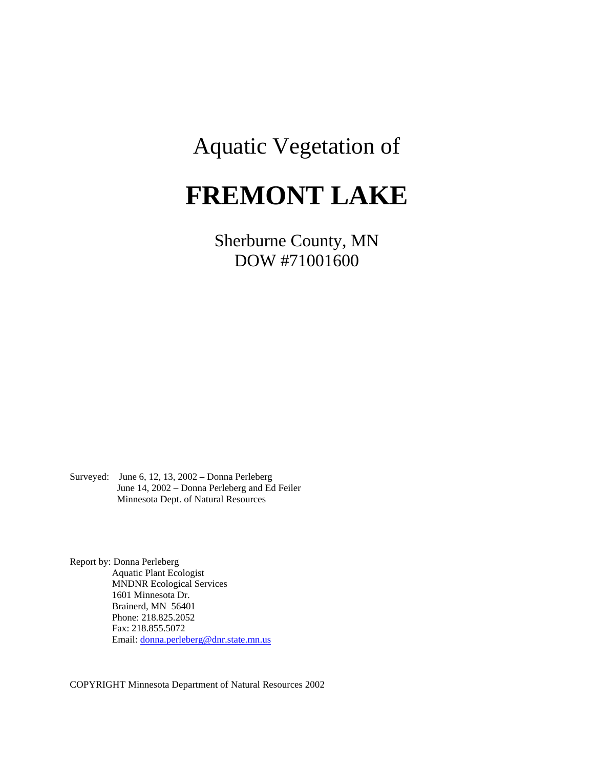# Aquatic Vegetation of

# **FREMONT LAKE**

Sherburne County, MN DOW #71001600

Surveyed: June 6, 12, 13, 2002 – Donna Perleberg June 14, 2002 – Donna Perleberg and Ed Feiler Minnesota Dept. of Natural Resources

Report by: Donna Perleberg Aquatic Plant Ecologist MNDNR Ecological Services 1601 Minnesota Dr. Brainerd, MN 56401 Phone: 218.825.2052 Fax: 218.855.5072 Email: [donna.perleberg@dnr.state.mn.us](mailto:donna.perleberg@dnr.state.mn.us)

COPYRIGHT Minnesota Department of Natural Resources 2002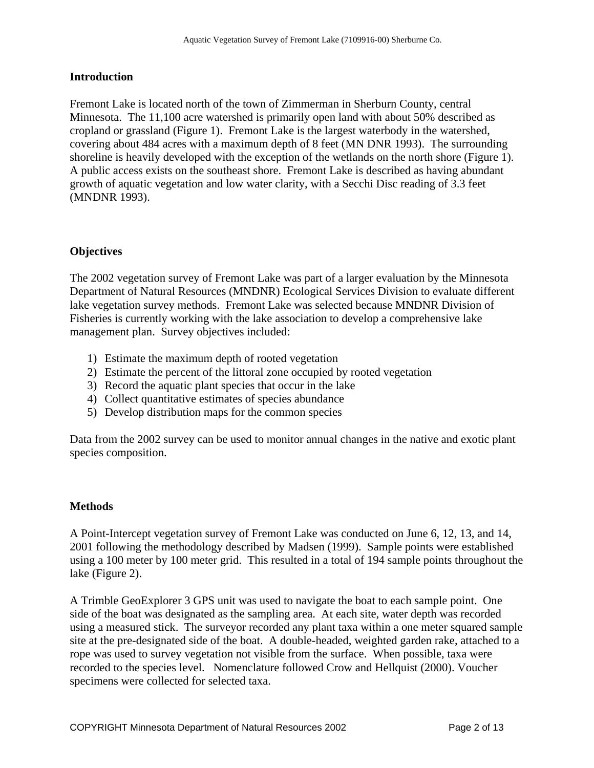### **Introduction**

Fremont Lake is located north of the town of Zimmerman in Sherburn County, central Minnesota. The 11,100 acre watershed is primarily open land with about 50% described as cropland or grassland (Figure 1). Fremont Lake is the largest waterbody in the watershed, covering about 484 acres with a maximum depth of 8 feet (MN DNR 1993). The surrounding shoreline is heavily developed with the exception of the wetlands on the north shore (Figure 1). A public access exists on the southeast shore. Fremont Lake is described as having abundant growth of aquatic vegetation and low water clarity, with a Secchi Disc reading of 3.3 feet (MNDNR 1993).

# **Objectives**

The 2002 vegetation survey of Fremont Lake was part of a larger evaluation by the Minnesota Department of Natural Resources (MNDNR) Ecological Services Division to evaluate different lake vegetation survey methods. Fremont Lake was selected because MNDNR Division of Fisheries is currently working with the lake association to develop a comprehensive lake management plan. Survey objectives included:

- 1) Estimate the maximum depth of rooted vegetation
- 2) Estimate the percent of the littoral zone occupied by rooted vegetation
- 3) Record the aquatic plant species that occur in the lake
- 4) Collect quantitative estimates of species abundance
- 5) Develop distribution maps for the common species

Data from the 2002 survey can be used to monitor annual changes in the native and exotic plant species composition.

### **Methods**

A Point-Intercept vegetation survey of Fremont Lake was conducted on June 6, 12, 13, and 14, 2001 following the methodology described by Madsen (1999). Sample points were established using a 100 meter by 100 meter grid. This resulted in a total of 194 sample points throughout the lake (Figure 2).

A Trimble GeoExplorer 3 GPS unit was used to navigate the boat to each sample point. One side of the boat was designated as the sampling area. At each site, water depth was recorded using a measured stick. The surveyor recorded any plant taxa within a one meter squared sample site at the pre-designated side of the boat. A double-headed, weighted garden rake, attached to a rope was used to survey vegetation not visible from the surface. When possible, taxa were recorded to the species level. Nomenclature followed Crow and Hellquist (2000). Voucher specimens were collected for selected taxa.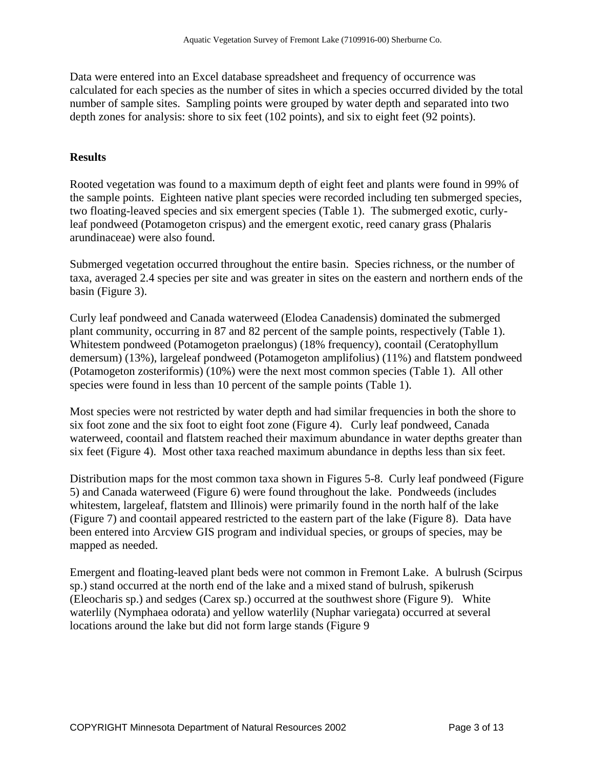Data were entered into an Excel database spreadsheet and frequency of occurrence was calculated for each species as the number of sites in which a species occurred divided by the total number of sample sites. Sampling points were grouped by water depth and separated into two depth zones for analysis: shore to six feet (102 points), and six to eight feet (92 points).

### **Results**

Rooted vegetation was found to a maximum depth of eight feet and plants were found in 99% of the sample points. Eighteen native plant species were recorded including ten submerged species, two floating-leaved species and six emergent species (Table 1). The submerged exotic, curlyleaf pondweed (Potamogeton crispus) and the emergent exotic, reed canary grass (Phalaris arundinaceae) were also found.

Submerged vegetation occurred throughout the entire basin. Species richness, or the number of taxa, averaged 2.4 species per site and was greater in sites on the eastern and northern ends of the basin (Figure 3).

Curly leaf pondweed and Canada waterweed (Elodea Canadensis) dominated the submerged plant community, occurring in 87 and 82 percent of the sample points, respectively (Table 1). Whitestem pondweed (Potamogeton praelongus) (18% frequency), coontail (Ceratophyllum demersum) (13%), largeleaf pondweed (Potamogeton amplifolius) (11%) and flatstem pondweed (Potamogeton zosteriformis) (10%) were the next most common species (Table 1). All other species were found in less than 10 percent of the sample points (Table 1).

Most species were not restricted by water depth and had similar frequencies in both the shore to six foot zone and the six foot to eight foot zone (Figure 4). Curly leaf pondweed, Canada waterweed, coontail and flatstem reached their maximum abundance in water depths greater than six feet (Figure 4). Most other taxa reached maximum abundance in depths less than six feet.

Distribution maps for the most common taxa shown in Figures 5-8. Curly leaf pondweed (Figure 5) and Canada waterweed (Figure 6) were found throughout the lake. Pondweeds (includes whitestem, largeleaf, flatstem and Illinois) were primarily found in the north half of the lake (Figure 7) and coontail appeared restricted to the eastern part of the lake (Figure 8). Data have been entered into Arcview GIS program and individual species, or groups of species, may be mapped as needed.

Emergent and floating-leaved plant beds were not common in Fremont Lake. A bulrush (Scirpus sp.) stand occurred at the north end of the lake and a mixed stand of bulrush, spikerush (Eleocharis sp.) and sedges (Carex sp.) occurred at the southwest shore (Figure 9). White waterlily (Nymphaea odorata) and yellow waterlily (Nuphar variegata) occurred at several locations around the lake but did not form large stands (Figure 9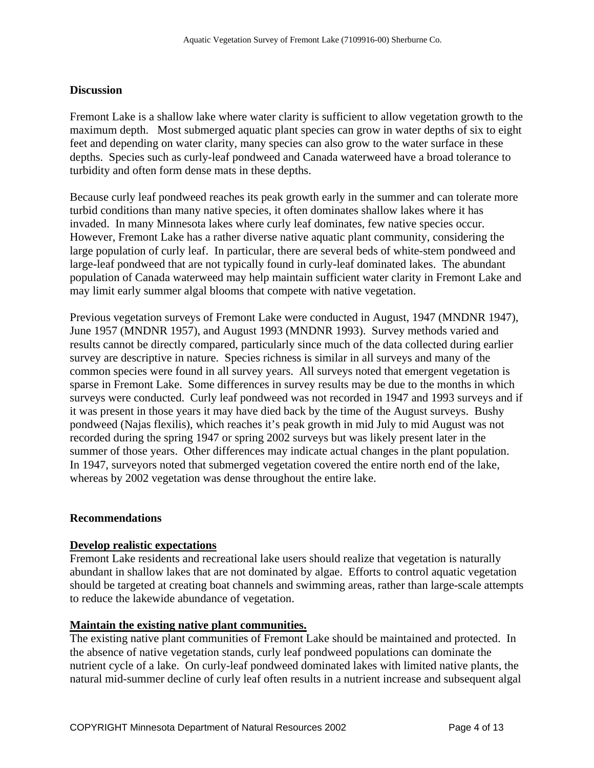### **Discussion**

Fremont Lake is a shallow lake where water clarity is sufficient to allow vegetation growth to the maximum depth. Most submerged aquatic plant species can grow in water depths of six to eight feet and depending on water clarity, many species can also grow to the water surface in these depths. Species such as curly-leaf pondweed and Canada waterweed have a broad tolerance to turbidity and often form dense mats in these depths.

Because curly leaf pondweed reaches its peak growth early in the summer and can tolerate more turbid conditions than many native species, it often dominates shallow lakes where it has invaded. In many Minnesota lakes where curly leaf dominates, few native species occur. However, Fremont Lake has a rather diverse native aquatic plant community, considering the large population of curly leaf. In particular, there are several beds of white-stem pondweed and large-leaf pondweed that are not typically found in curly-leaf dominated lakes. The abundant population of Canada waterweed may help maintain sufficient water clarity in Fremont Lake and may limit early summer algal blooms that compete with native vegetation.

Previous vegetation surveys of Fremont Lake were conducted in August, 1947 (MNDNR 1947), June 1957 (MNDNR 1957), and August 1993 (MNDNR 1993). Survey methods varied and results cannot be directly compared, particularly since much of the data collected during earlier survey are descriptive in nature. Species richness is similar in all surveys and many of the common species were found in all survey years. All surveys noted that emergent vegetation is sparse in Fremont Lake. Some differences in survey results may be due to the months in which surveys were conducted. Curly leaf pondweed was not recorded in 1947 and 1993 surveys and if it was present in those years it may have died back by the time of the August surveys. Bushy pondweed (Najas flexilis), which reaches it's peak growth in mid July to mid August was not recorded during the spring 1947 or spring 2002 surveys but was likely present later in the summer of those years. Other differences may indicate actual changes in the plant population. In 1947, surveyors noted that submerged vegetation covered the entire north end of the lake, whereas by 2002 vegetation was dense throughout the entire lake.

### **Recommendations**

#### **Develop realistic expectations**

Fremont Lake residents and recreational lake users should realize that vegetation is naturally abundant in shallow lakes that are not dominated by algae. Efforts to control aquatic vegetation should be targeted at creating boat channels and swimming areas, rather than large-scale attempts to reduce the lakewide abundance of vegetation.

### **Maintain the existing native plant communities.**

The existing native plant communities of Fremont Lake should be maintained and protected. In the absence of native vegetation stands, curly leaf pondweed populations can dominate the nutrient cycle of a lake. On curly-leaf pondweed dominated lakes with limited native plants, the natural mid-summer decline of curly leaf often results in a nutrient increase and subsequent algal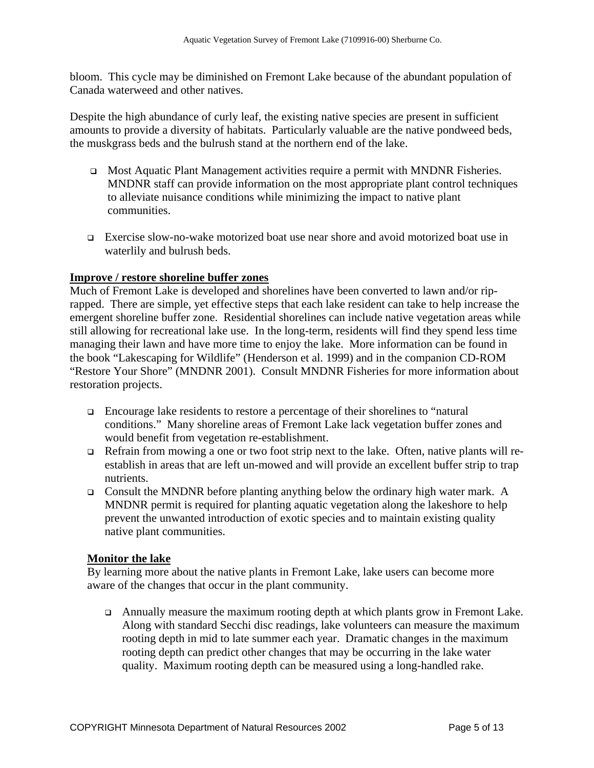bloom. This cycle may be diminished on Fremont Lake because of the abundant population of Canada waterweed and other natives.

Despite the high abundance of curly leaf, the existing native species are present in sufficient amounts to provide a diversity of habitats. Particularly valuable are the native pondweed beds, the muskgrass beds and the bulrush stand at the northern end of the lake.

- □ Most Aquatic Plant Management activities require a permit with MNDNR Fisheries. MNDNR staff can provide information on the most appropriate plant control techniques to alleviate nuisance conditions while minimizing the impact to native plant communities.
- Exercise slow-no-wake motorized boat use near shore and avoid motorized boat use in waterlily and bulrush beds.

#### **Improve / restore shoreline buffer zones**

Much of Fremont Lake is developed and shorelines have been converted to lawn and/or riprapped. There are simple, yet effective steps that each lake resident can take to help increase the emergent shoreline buffer zone. Residential shorelines can include native vegetation areas while still allowing for recreational lake use. In the long-term, residents will find they spend less time managing their lawn and have more time to enjoy the lake. More information can be found in the book "Lakescaping for Wildlife" (Henderson et al. 1999) and in the companion CD-ROM "Restore Your Shore" (MNDNR 2001). Consult MNDNR Fisheries for more information about restoration projects.

- Encourage lake residents to restore a percentage of their shorelines to "natural conditions." Many shoreline areas of Fremont Lake lack vegetation buffer zones and would benefit from vegetation re-establishment.
- Refrain from mowing a one or two foot strip next to the lake. Often, native plants will reestablish in areas that are left un-mowed and will provide an excellent buffer strip to trap nutrients.
- Consult the MNDNR before planting anything below the ordinary high water mark. A MNDNR permit is required for planting aquatic vegetation along the lakeshore to help prevent the unwanted introduction of exotic species and to maintain existing quality native plant communities.

#### **Monitor the lake**

By learning more about the native plants in Fremont Lake, lake users can become more aware of the changes that occur in the plant community.

 Annually measure the maximum rooting depth at which plants grow in Fremont Lake. Along with standard Secchi disc readings, lake volunteers can measure the maximum rooting depth in mid to late summer each year. Dramatic changes in the maximum rooting depth can predict other changes that may be occurring in the lake water quality. Maximum rooting depth can be measured using a long-handled rake.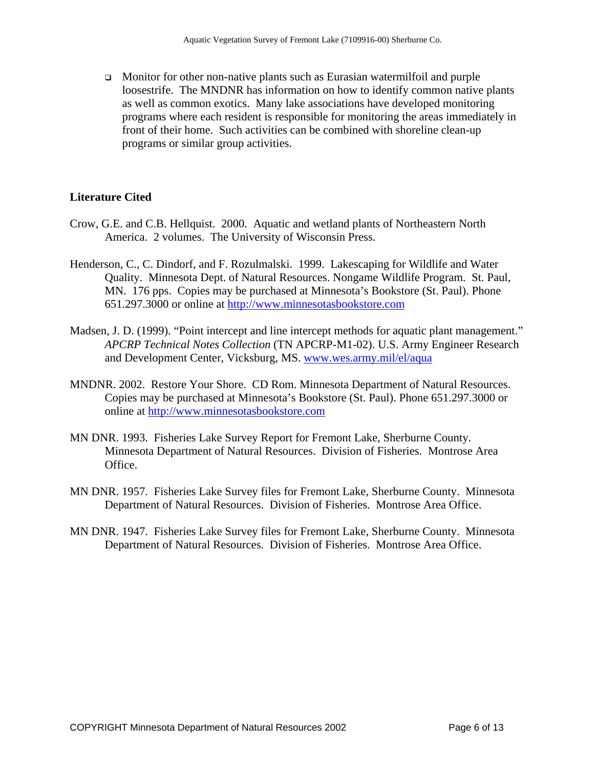Monitor for other non-native plants such as Eurasian watermilfoil and purple loosestrife. The MNDNR has information on how to identify common native plants as well as common exotics. Many lake associations have developed monitoring programs where each resident is responsible for monitoring the areas immediately in front of their home. Such activities can be combined with shoreline clean-up programs or similar group activities.

# **Literature Cited**

- Crow, G.E. and C.B. Hellquist. 2000. Aquatic and wetland plants of Northeastern North America. 2 volumes. The University of Wisconsin Press.
- Henderson, C., C. Dindorf, and F. Rozulmalski. 1999. Lakescaping for Wildlife and Water Quality. Minnesota Dept. of Natural Resources. Nongame Wildlife Program. St. Paul, MN. 176 pps. Copies may be purchased at Minnesota's Bookstore (St. Paul). Phone 651.297.3000 or online at [http://www.minnesotasbookstore.com](http://www.minnesotasbookstore.com/)
- Madsen, J. D. (1999). "Point intercept and line intercept methods for aquatic plant management." *APCRP Technical Notes Collection* (TN APCRP-M1-02). U.S. Army Engineer Research and Development Center, Vicksburg, MS. [www.wes.army.mil/el/aqua](http://www.wes.army.mil/el/aqua)
- MNDNR. 2002. Restore Your Shore. CD Rom. Minnesota Department of Natural Resources. Copies may be purchased at Minnesota's Bookstore (St. Paul). Phone 651.297.3000 or online at [http://www.minnesotasbookstore.com](http://www.minnesotasbookstore.com/)
- MN DNR. 1993. Fisheries Lake Survey Report for Fremont Lake, Sherburne County. Minnesota Department of Natural Resources. Division of Fisheries. Montrose Area Office.
- MN DNR. 1957. Fisheries Lake Survey files for Fremont Lake, Sherburne County. Minnesota Department of Natural Resources. Division of Fisheries. Montrose Area Office.
- MN DNR. 1947. Fisheries Lake Survey files for Fremont Lake, Sherburne County. Minnesota Department of Natural Resources. Division of Fisheries. Montrose Area Office.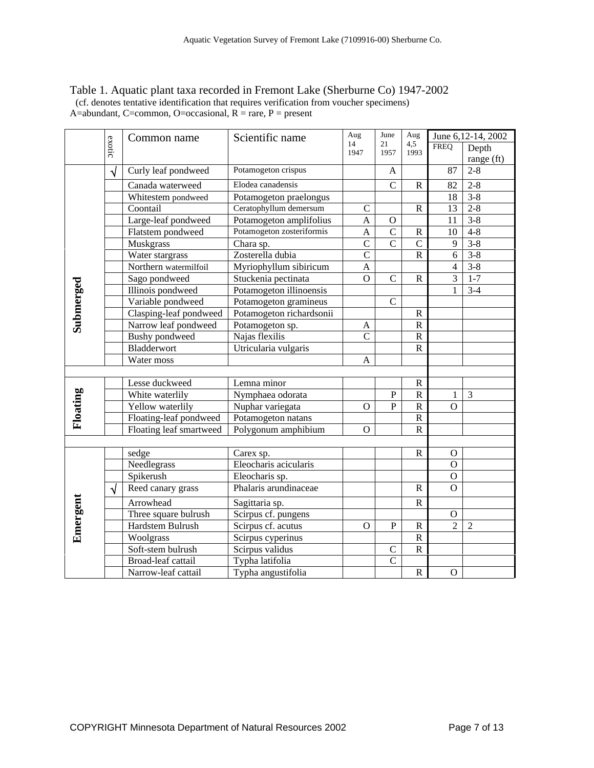Table 1. Aquatic plant taxa recorded in Fremont Lake (Sherburne Co) 1947-2002 (cf. denotes tentative identification that requires verification from voucher specimens) A=abundant, C=common, O=occasional,  $R = rare$ ,  $P = present$ 

|           |            | Common name             | Scientific name           | Aug            | June           | Aug                   |                | June 6,12-14, 2002 |
|-----------|------------|-------------------------|---------------------------|----------------|----------------|-----------------------|----------------|--------------------|
|           | exotic     |                         |                           | 14             | 21             | 4,5                   | <b>FREQ</b>    | Depth              |
|           |            |                         |                           | 1947           | 1957           | 1993                  |                | range (ft)         |
| Submerged | $\sqrt{}$  | Curly leaf pondweed     | Potamogeton crispus       |                | A              |                       | 87             | $2 - 8$            |
|           |            | Canada waterweed        | Elodea canadensis         |                | $\overline{C}$ | $\mathbf R$           | 82             | $2 - 8$            |
|           |            | Whitestem pondweed      | Potamogeton praelongus    |                |                |                       | 18             | $3 - 8$            |
|           |            | Coontail                | Ceratophyllum demersum    | $\mathcal{C}$  |                | ${\bf R}$             | 13             | $2 - 8$            |
|           |            | Large-leaf pondweed     | Potamogeton amplifolius   | A              | $\mathbf O$    |                       | 11             | $3 - 8$            |
|           |            | Flatstem pondweed       | Potamogeton zosteriformis | A              | $\mathcal{C}$  | $\mathbf R$           | 10             | $4 - 8$            |
|           |            | Muskgrass               | Chara sp.                 | $\overline{C}$ | $\overline{C}$ | $\overline{C}$        | 9              | $3 - 8$            |
|           |            | Water stargrass         | Zosterella dubia          | $\overline{C}$ |                | $\overline{R}$        | $\overline{6}$ | $3 - 8$            |
|           |            | Northern watermilfoil   | Myriophyllum sibiricum    | $\mathbf{A}$   |                |                       | $\overline{4}$ | $3 - 8$            |
|           |            | Sago pondweed           | Stuckenia pectinata       | $\overline{0}$ | $\overline{C}$ | $\overline{R}$        | $\overline{3}$ | $1 - 7$            |
|           |            | Illinois pondweed       | Potamogeton illinoensis   |                |                |                       | $\mathbf{1}$   | $3 - 4$            |
|           |            | Variable pondweed       | Potamogeton gramineus     |                | $\overline{C}$ |                       |                |                    |
|           |            | Clasping-leaf pondweed  | Potamogeton richardsonii  |                |                | ${\bf R}$             |                |                    |
|           |            | Narrow leaf pondweed    | Potamogeton sp.           | A              |                | $\overline{R}$        |                |                    |
|           |            | <b>Bushy</b> pondweed   | Najas flexilis            | $\overline{C}$ |                | $\overline{\text{R}}$ |                |                    |
|           |            | Bladderwort             | Utricularia vulgaris      |                |                | $\mathbf R$           |                |                    |
|           |            | Water moss              |                           | $\mathbf{A}$   |                |                       |                |                    |
|           |            |                         |                           |                |                |                       |                |                    |
| Floating  |            | Lesse duckweed          | Lemna minor               |                |                | ${\bf R}$             |                |                    |
|           |            | White waterlily         | Nymphaea odorata          |                | $\mathbf P$    | $\mathbf R$           | 1              | 3                  |
|           |            | Yellow waterlily        | Nuphar variegata          | $\mathbf O$    | $\overline{P}$ | $\overline{R}$        | $\overline{O}$ |                    |
|           |            | Floating-leaf pondweed  | Potamogeton natans        |                |                | $\overline{R}$        |                |                    |
|           |            | Floating leaf smartweed | Polygonum amphibium       | $\Omega$       |                | $\overline{R}$        |                |                    |
|           |            |                         |                           |                |                |                       |                |                    |
| Emergent  |            | sedge                   | Carex sp.                 |                |                | $\mathbf R$           | O              |                    |
|           |            | Needlegrass             | Eleocharis acicularis     |                |                |                       | $\mathbf O$    |                    |
|           |            | Spikerush               | Eleocharis sp.            |                |                |                       | $\mathbf{O}$   |                    |
|           | $\sqrt{ }$ | Reed canary grass       | Phalaris arundinaceae     |                |                | $\mathbf R$           | $\overline{O}$ |                    |
|           |            | Arrowhead               | Sagittaria sp.            |                |                | $\mathbf R$           |                |                    |
|           |            | Three square bulrush    | Scirpus cf. pungens       |                |                |                       | $\mathbf{O}$   |                    |
|           |            | Hardstem Bulrush        | Scirpus cf. acutus        | $\mathbf{O}$   | $\overline{P}$ | $\mathbf R$           | $\overline{2}$ | $\overline{2}$     |
|           |            | Woolgrass               | Scirpus cyperinus         |                |                | $\mathbf R$           |                |                    |
|           |            | Soft-stem bulrush       | Scirpus validus           |                | $\mathcal{C}$  | $\overline{R}$        |                |                    |
|           |            | Broad-leaf cattail      | Typha latifolia           |                | $\overline{C}$ |                       |                |                    |
|           |            | Narrow-leaf cattail     | Typha angustifolia        |                |                | $\, {\bf R}$          | $\mathbf O$    |                    |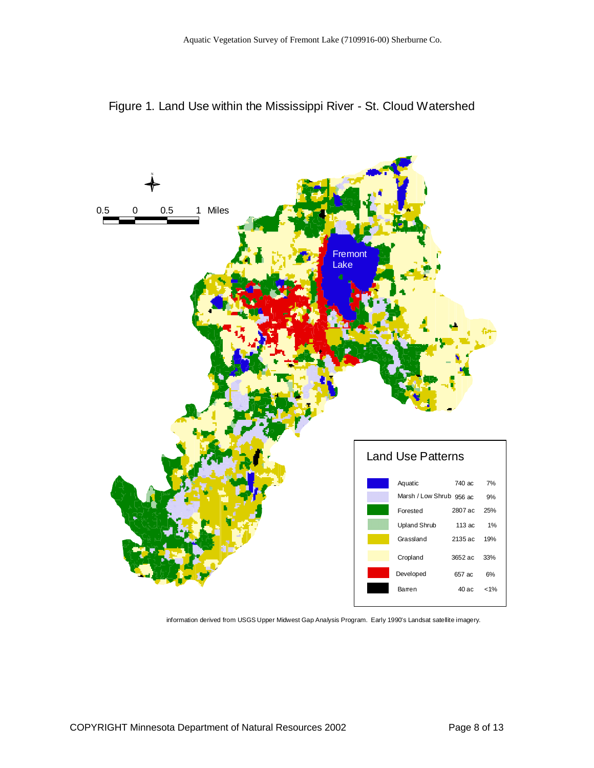

Figure 1. Land Use within the Mississippi River - St. Cloud Watershed

information derived from USGS Upper Midwest Gap Analysis Program. Early 1990's Landsat satellite imagery.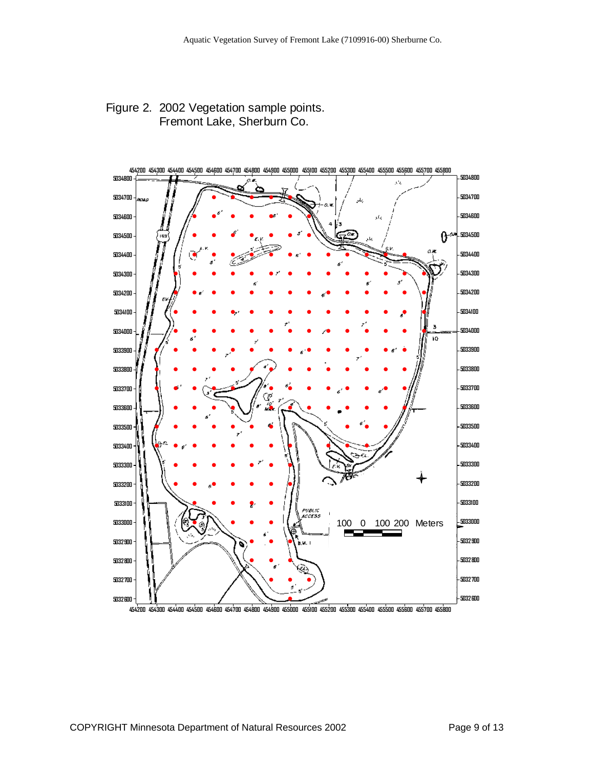



454200 454300 454400 454500 454600 454700 454800 454900 455000 455100 455200 455300 455400 455500 455600 455700 455800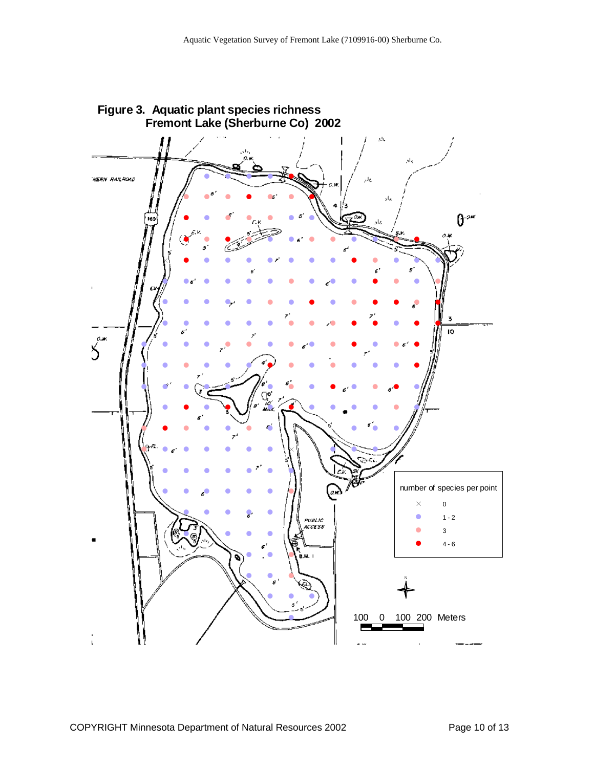

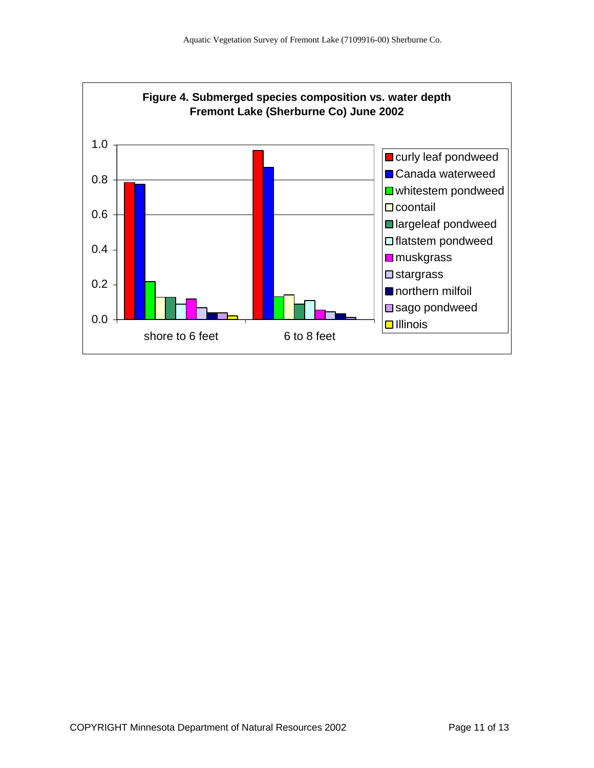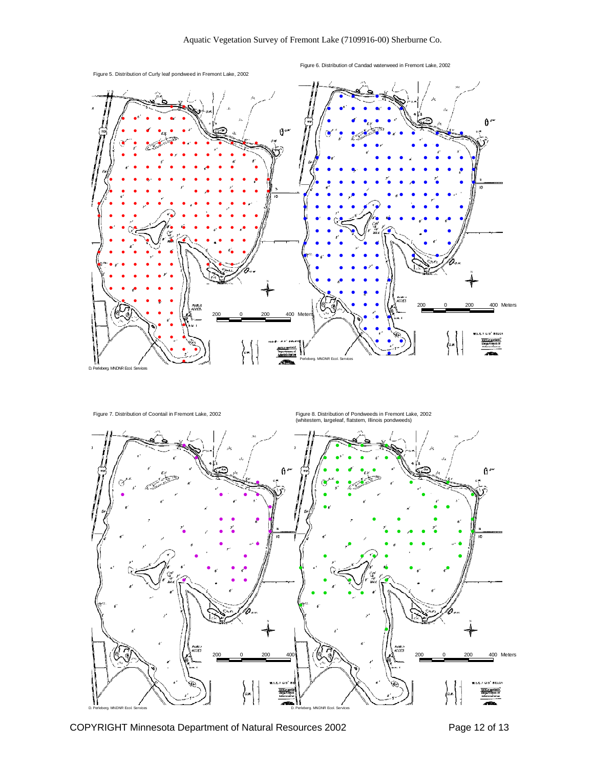

Figure 5. Distribution of Curly leaf pondweed in Fremont Lake, 2002

Figure 6. Distribution of Candad waterweed in Fremont Lake, 2002



D. Perleberg. MNDNR Ecol. Services

COPYRIGHT Minnesota Department of Natural Resources 2002 Page 12 of 13

D. Perleberg. MNDNR Ecol. Services